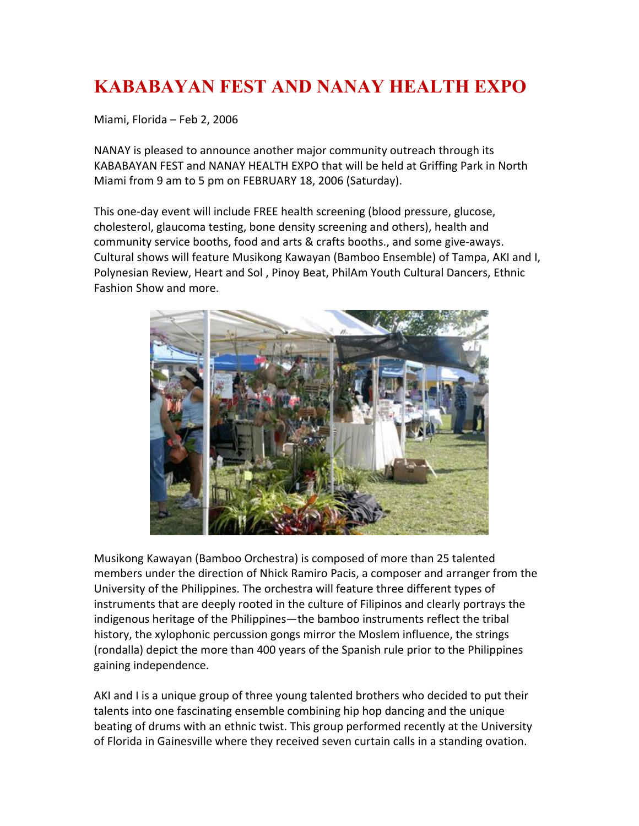## **KABABAYAN FEST AND NANAY HEALTH EXPO**

Miami, Florida – Feb 2, 2006

NANAY is pleased to announce another major community outreach through its KABABAYAN FEST and NANAY HEALTH EXPO that will be held at Griffing Park in North Miami from 9 am to 5 pm on FEBRUARY 18, 2006 (Saturday).

This one-day event will include FREE health screening (blood pressure, glucose, cholesterol, glaucoma testing, bone density screening and others), health and community service booths, food and arts & crafts booths., and some give-aways. Cultural shows will feature Musikong Kawayan (Bamboo Ensemble) of Tampa, AKI and I, Polynesian Review, Heart and Sol , Pinoy Beat, PhilAm Youth Cultural Dancers, Ethnic Fashion Show and more.



Musikong Kawayan (Bamboo Orchestra) is composed of more than 25 talented members under the direction of Nhick Ramiro Pacis, a composer and arranger from the University of the Philippines. The orchestra will feature three different types of instruments that are deeply rooted in the culture of Filipinos and clearly portrays the indigenous heritage of the Philippines—the bamboo instruments reflect the tribal history, the xylophonic percussion gongs mirror the Moslem influence, the strings (rondalla) depict the more than 400 years of the Spanish rule prior to the Philippines gaining independence.

AKI and I is a unique group of three young talented brothers who decided to put their talents into one fascinating ensemble combining hip hop dancing and the unique beating of drums with an ethnic twist. This group performed recently at the University of Florida in Gainesville where they received seven curtain calls in a standing ovation.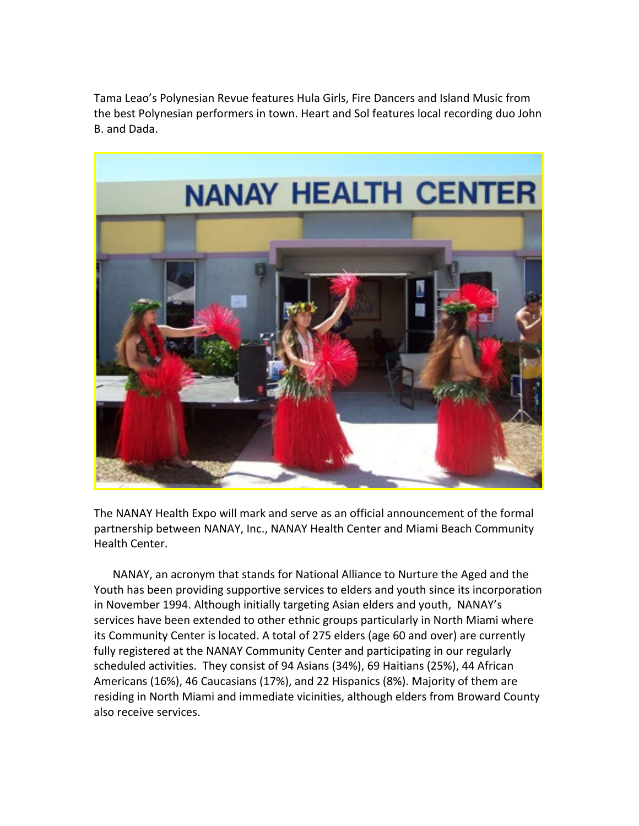Tama Leao's Polynesian Revue features Hula Girls, Fire Dancers and Island Music from the best Polynesian performers in town. Heart and Sol features local recording duo John B. and Dada.



The NANAY Health Expo will mark and serve as an official announcement of the formal partnership between NANAY, Inc., NANAY Health Center and Miami Beach Community Health Center.

NANAY, an acronym that stands for National Alliance to Nurture the Aged and the Youth has been providing supportive services to elders and youth since its incorporation in November 1994. Although initially targeting Asian elders and youth, NANAY's services have been extended to other ethnic groups particularly in North Miami where its Community Center is located. A total of 275 elders (age 60 and over) are currently fully registered at the NANAY Community Center and participating in our regularly scheduled activities. They consist of 94 Asians (34%), 69 Haitians (25%), 44 African Americans (16%), 46 Caucasians (17%), and 22 Hispanics (8%). Majority of them are residing in North Miami and immediate vicinities, although elders from Broward County also receive services.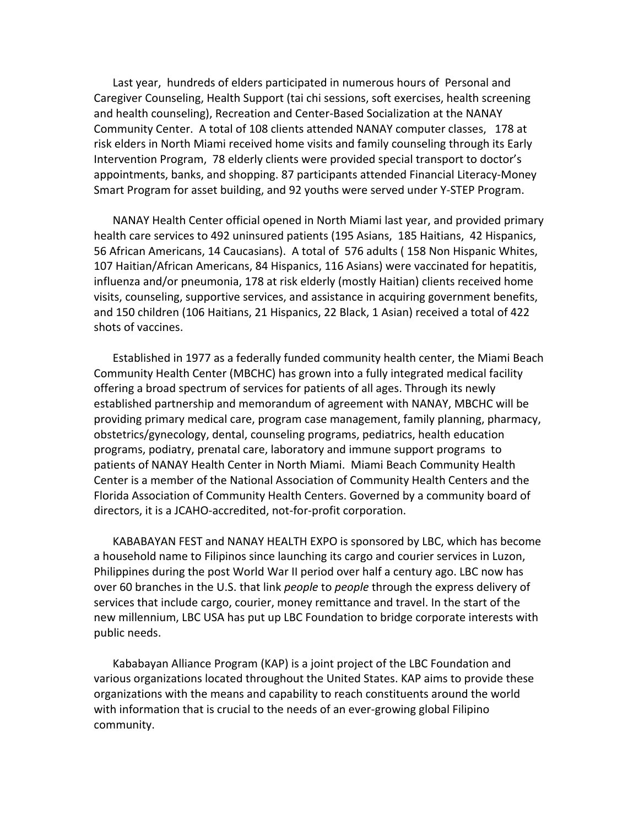Last year, hundreds of elders participated in numerous hours of Personal and Caregiver Counseling, Health Support (tai chi sessions, soft exercises, health screening and health counseling), Recreation and Center-Based Socialization at the NANAY Community Center. A total of 108 clients attended NANAY computer classes, 178 at risk elders in North Miami received home visits and family counseling through its Early Intervention Program, 78 elderly clients were provided special transport to doctor's appointments, banks, and shopping. 87 participants attended Financial Literacy-Money Smart Program for asset building, and 92 youths were served under Y-STEP Program.

NANAY Health Center official opened in North Miami last year, and provided primary health care services to 492 uninsured patients (195 Asians, 185 Haitians, 42 Hispanics, 56 African Americans, 14 Caucasians). A total of 576 adults ( 158 Non Hispanic Whites, 107 Haitian/African Americans, 84 Hispanics, 116 Asians) were vaccinated for hepatitis, influenza and/or pneumonia, 178 at risk elderly (mostly Haitian) clients received home visits, counseling, supportive services, and assistance in acquiring government benefits, and 150 children (106 Haitians, 21 Hispanics, 22 Black, 1 Asian) received a total of 422 shots of vaccines.

Established in 1977 as a federally funded community health center, the Miami Beach Community Health Center (MBCHC) has grown into a fully integrated medical facility offering a broad spectrum of services for patients of all ages. Through its newly established partnership and memorandum of agreement with NANAY, MBCHC will be providing primary medical care, program case management, family planning, pharmacy, obstetrics/gynecology, dental, counseling programs, pediatrics, health education programs, podiatry, prenatal care, laboratory and immune support programs to patients of NANAY Health Center in North Miami. Miami Beach Community Health Center is a member of the National Association of Community Health Centers and the Florida Association of Community Health Centers. Governed by a community board of directors, it is a JCAHO-accredited, not-for-profit corporation.

KABABAYAN FEST and NANAY HEALTH EXPO is sponsored by LBC, which has become a household name to Filipinos since launching its cargo and courier services in Luzon, Philippines during the post World War II period over half a century ago. LBC now has over 60 branches in the U.S. that link *people* to *people* through the express delivery of services that include cargo, courier, money remittance and travel. In the start of the new millennium, LBC USA has put up LBC Foundation to bridge corporate interests with public needs.

Kababayan Alliance Program (KAP) is a joint project of the LBC Foundation and various organizations located throughout the United States. KAP aims to provide these organizations with the means and capability to reach constituents around the world with information that is crucial to the needs of an ever-growing global Filipino community.